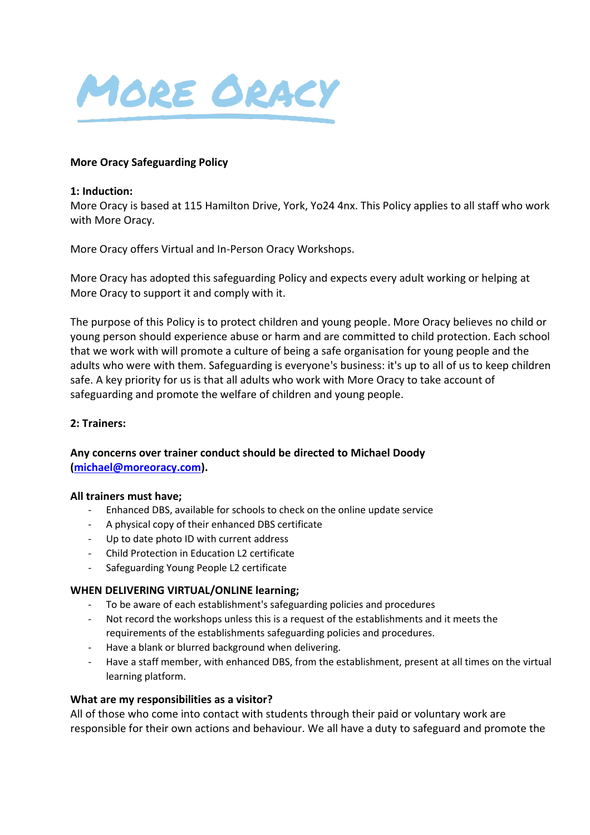

#### **More Oracy Safeguarding Policy**

#### **1: Induction:**

More Oracy is based at 115 Hamilton Drive, York, Yo24 4nx. This Policy applies to all staff who work with More Oracy.

More Oracy offers Virtual and In-Person Oracy Workshops.

More Oracy has adopted this safeguarding Policy and expects every adult working or helping at More Oracy to support it and comply with it.

The purpose of this Policy is to protect children and young people. More Oracy believes no child or young person should experience abuse or harm and are committed to child protection. Each school that we work with will promote a culture of being a safe organisation for young people and the adults who were with them. Safeguarding is everyone's business: it's up to all of us to keep children safe. A key priority for us is that all adults who work with More Oracy to take account of safeguarding and promote the welfare of children and young people.

#### **2: Trainers:**

# **Any concerns over trainer conduct should be directed to Michael Doody [\(michael@moreoracy.com\)](mailto:michael@moreoracy.com).**

#### **All trainers must have;**

- Enhanced DBS, available for schools to check on the online update service
- A physical copy of their enhanced DBS certificate
- Up to date photo ID with current address
- Child Protection in Education L2 certificate
- Safeguarding Young People L2 certificate

#### **WHEN DELIVERING VIRTUAL/ONLINE learning;**

- To be aware of each establishment's safeguarding policies and procedures
- Not record the workshops unless this is a request of the establishments and it meets the requirements of the establishments safeguarding policies and procedures.
- Have a blank or blurred background when delivering.
- Have a staff member, with enhanced DBS, from the establishment, present at all times on the virtual learning platform.

#### **What are my responsibilities as a visitor?**

All of those who come into contact with students through their paid or voluntary work are responsible for their own actions and behaviour. We all have a duty to safeguard and promote the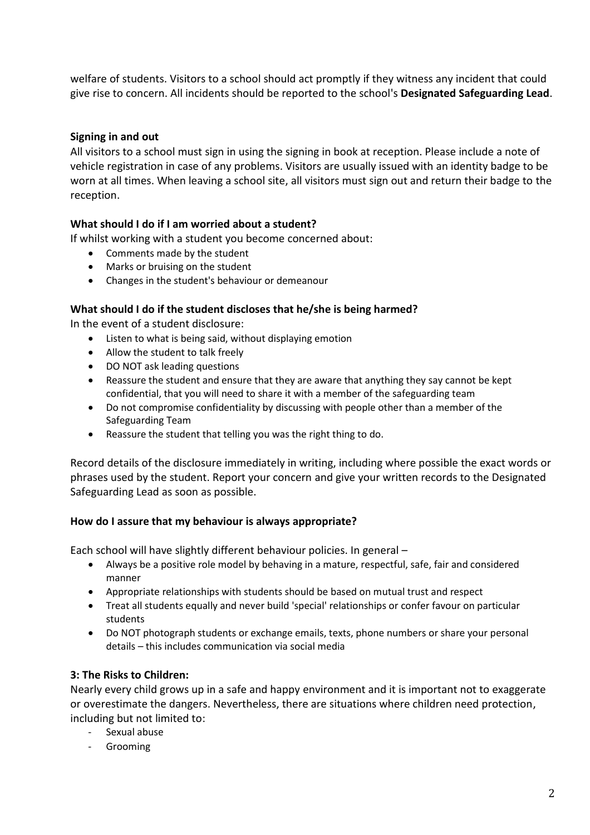welfare of students. Visitors to a school should act promptly if they witness any incident that could give rise to concern. All incidents should be reported to the school's **Designated Safeguarding Lead**.

# **Signing in and out**

All visitors to a school must sign in using the signing in book at reception. Please include a note of vehicle registration in case of any problems. Visitors are usually issued with an identity badge to be worn at all times. When leaving a school site, all visitors must sign out and return their badge to the reception.

# **What should I do if I am worried about a student?**

If whilst working with a student you become concerned about:

- Comments made by the student
- Marks or bruising on the student
- Changes in the student's behaviour or demeanour

## **What should I do if the student discloses that he/she is being harmed?**

In the event of a student disclosure:

- Listen to what is being said, without displaying emotion
- Allow the student to talk freely
- DO NOT ask leading questions
- Reassure the student and ensure that they are aware that anything they say cannot be kept confidential, that you will need to share it with a member of the safeguarding team
- Do not compromise confidentiality by discussing with people other than a member of the Safeguarding Team
- Reassure the student that telling you was the right thing to do.

Record details of the disclosure immediately in writing, including where possible the exact words or phrases used by the student. Report your concern and give your written records to the Designated Safeguarding Lead as soon as possible.

## **How do I assure that my behaviour is always appropriate?**

Each school will have slightly different behaviour policies. In general –

- Always be a positive role model by behaving in a mature, respectful, safe, fair and considered manner
- Appropriate relationships with students should be based on mutual trust and respect
- Treat all students equally and never build 'special' relationships or confer favour on particular students
- Do NOT photograph students or exchange emails, texts, phone numbers or share your personal details – this includes communication via social media

## **3: The Risks to Children:**

Nearly every child grows up in a safe and happy environment and it is important not to exaggerate or overestimate the dangers. Nevertheless, there are situations where children need protection, including but not limited to:

- Sexual abuse
- Grooming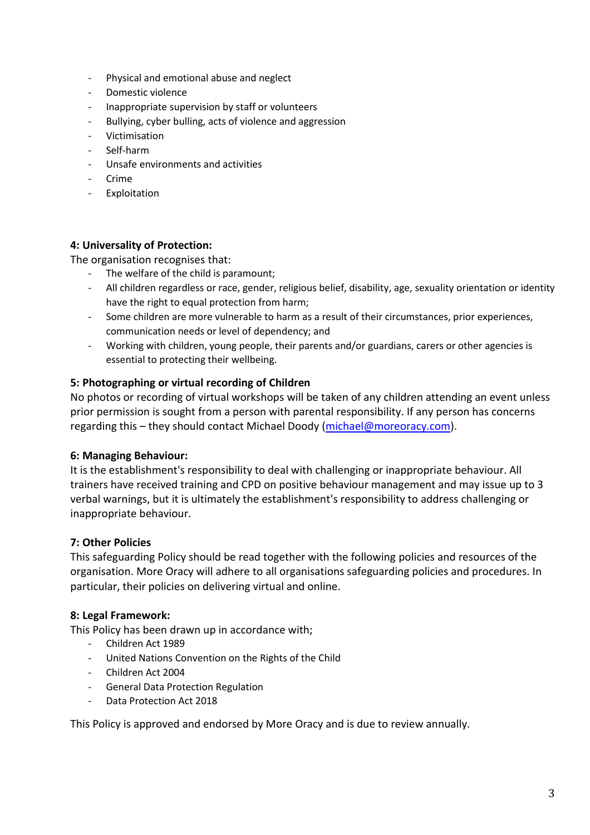- Physical and emotional abuse and neglect
- Domestic violence
- Inappropriate supervision by staff or volunteers
- Bullying, cyber bulling, acts of violence and aggression
- Victimisation
- Self-harm
- Unsafe environments and activities
- Crime
- Exploitation

#### **4: Universality of Protection:**

The organisation recognises that:

- The welfare of the child is paramount;
- All children regardless or race, gender, religious belief, disability, age, sexuality orientation or identity have the right to equal protection from harm;
- Some children are more vulnerable to harm as a result of their circumstances, prior experiences, communication needs or level of dependency; and
- Working with children, young people, their parents and/or guardians, carers or other agencies is essential to protecting their wellbeing.

## **5: Photographing or virtual recording of Children**

No photos or recording of virtual workshops will be taken of any children attending an event unless prior permission is sought from a person with parental responsibility. If any person has concerns regarding this – they should contact Michael Doody [\(michael@moreoracy.com\)](mailto:michael@moreoracy.com).

## **6: Managing Behaviour:**

It is the establishment's responsibility to deal with challenging or inappropriate behaviour. All trainers have received training and CPD on positive behaviour management and may issue up to 3 verbal warnings, but it is ultimately the establishment's responsibility to address challenging or inappropriate behaviour.

## **7: Other Policies**

This safeguarding Policy should be read together with the following policies and resources of the organisation. More Oracy will adhere to all organisations safeguarding policies and procedures. In particular, their policies on delivering virtual and online.

## **8: Legal Framework:**

This Policy has been drawn up in accordance with;

- Children Act 1989
- United Nations Convention on the Rights of the Child
- Children Act 2004
- General Data Protection Regulation
- Data Protection Act 2018

This Policy is approved and endorsed by More Oracy and is due to review annually.